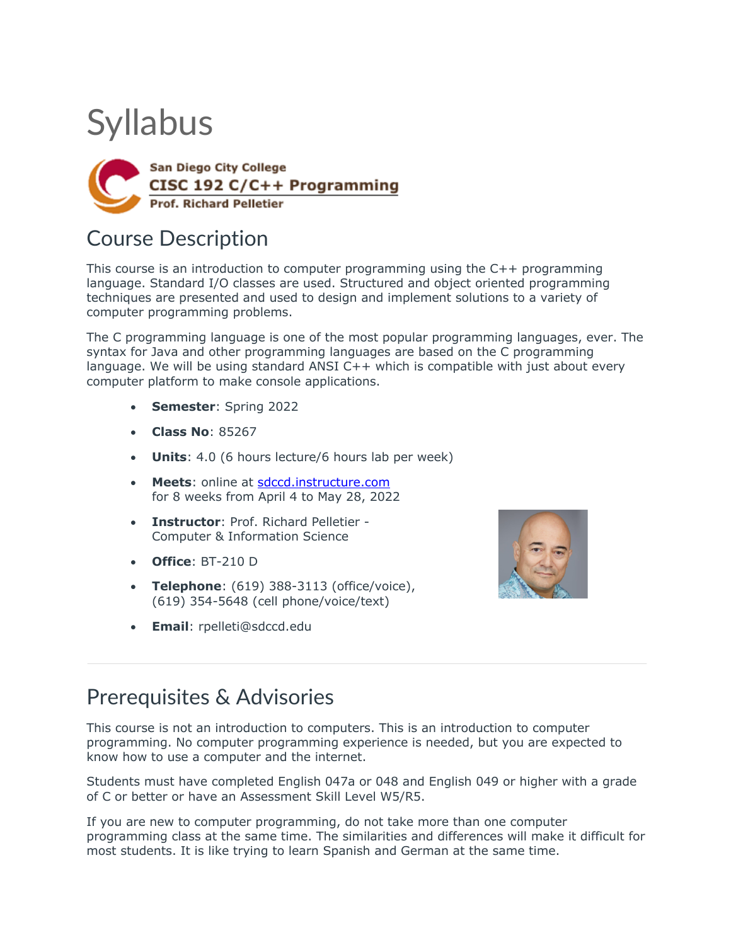# **Syllabus**



# Course Description

This course is an introduction to computer programming using the C++ programming language. Standard I/O classes are used. Structured and object oriented programming techniques are presented and used to design and implement solutions to a variety of computer programming problems.

The C programming language is one of the most popular programming languages, ever. The syntax for Java and other programming languages are based on the C programming language. We will be using standard ANSI C++ which is compatible with just about every computer platform to make console applications.

- **Semester**: Spring 2022
- **Class No**: 85267
- **Units**: 4.0 (6 hours lecture/6 hours lab per week)
- **Meets**: online at sdccd.instructure.com for 8 weeks from April 4 to May 28, 2022
- **Instructor**: Prof. Richard Pelletier Computer & Information Science
- **Office**: BT-210 D
- **Telephone**: (619) 388-3113 (office/voice), (619) 354-5648 (cell phone/voice/text)
- **Email**: rpelleti@sdccd.edu



### Prerequisites & Advisories

This course is not an introduction to computers. This is an introduction to computer programming. No computer programming experience is needed, but you are expected to know how to use a computer and the internet.

Students must have completed English 047a or 048 and English 049 or higher with a grade of C or better or have an Assessment Skill Level W5/R5.

If you are new to computer programming, do not take more than one computer programming class at the same time. The similarities and differences will make it difficult for most students. It is like trying to learn Spanish and German at the same time.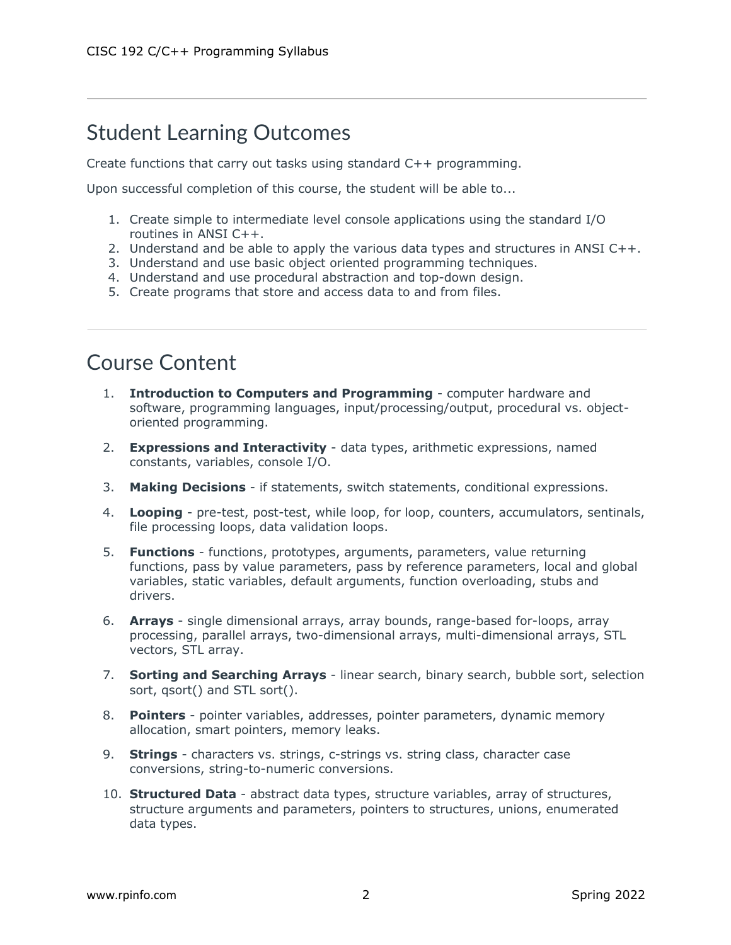## Student Learning Outcomes

Create functions that carry out tasks using standard C++ programming.

Upon successful completion of this course, the student will be able to...

- 1. Create simple to intermediate level console applications using the standard I/O routines in ANSI C++.
- 2. Understand and be able to apply the various data types and structures in ANSI C++.
- 3. Understand and use basic object oriented programming techniques.
- 4. Understand and use procedural abstraction and top-down design.
- 5. Create programs that store and access data to and from files.

#### Course Content

- 1. **Introduction to Computers and Programming** computer hardware and software, programming languages, input/processing/output, procedural vs. objectoriented programming.
- 2. **Expressions and Interactivity** data types, arithmetic expressions, named constants, variables, console I/O.
- 3. **Making Decisions** if statements, switch statements, conditional expressions.
- 4. **Looping** pre-test, post-test, while loop, for loop, counters, accumulators, sentinals, file processing loops, data validation loops.
- 5. **Functions** functions, prototypes, arguments, parameters, value returning functions, pass by value parameters, pass by reference parameters, local and global variables, static variables, default arguments, function overloading, stubs and drivers.
- 6. **Arrays** single dimensional arrays, array bounds, range-based for-loops, array processing, parallel arrays, two-dimensional arrays, multi-dimensional arrays, STL vectors, STL array.
- 7. **Sorting and Searching Arrays** linear search, binary search, bubble sort, selection sort, qsort() and STL sort().
- 8. **Pointers** pointer variables, addresses, pointer parameters, dynamic memory allocation, smart pointers, memory leaks.
- 9. **Strings** characters vs. strings, c-strings vs. string class, character case conversions, string-to-numeric conversions.
- 10. **Structured Data** abstract data types, structure variables, array of structures, structure arguments and parameters, pointers to structures, unions, enumerated data types.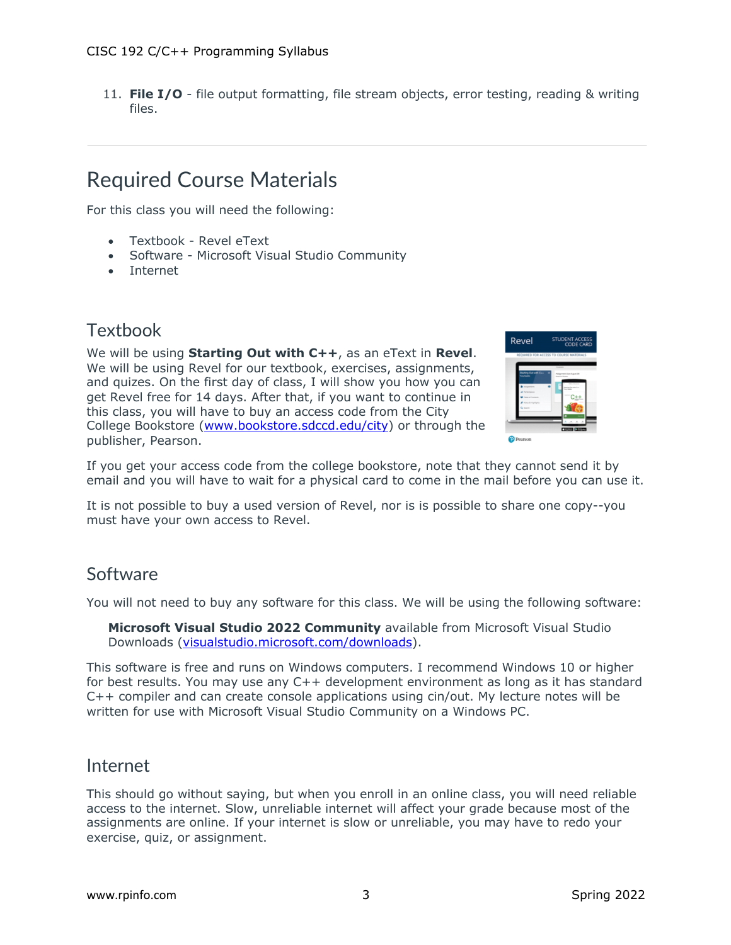11. **File I/O** - file output formatting, file stream objects, error testing, reading & writing files.

## Required Course Materials

For this class you will need the following:

- Textbook Revel eText
- Software Microsoft Visual Studio Community
- Internet

#### **Textbook**

We will be using **Starting Out with C++**, as an eText in **Revel**. We will be using Revel for our textbook, exercises, assignments, and quizes. On the first day of class, I will show you how you can get Revel free for 14 days. After that, if you want to continue in this class, you will have to buy an access code from the City College Bookstore (www.bookstore.sdccd.edu/city) or through the publisher, Pearson.



If you get your access code from the college bookstore, note that they cannot send it by email and you will have to wait for a physical card to come in the mail before you can use it.

It is not possible to buy a used version of Revel, nor is is possible to share one copy--you must have your own access to Revel.

#### Software

You will not need to buy any software for this class. We will be using the following software:

**Microsoft Visual Studio 2022 Community** available from Microsoft Visual Studio Downloads (visualstudio.microsoft.com/downloads).

This software is free and runs on Windows computers. I recommend Windows 10 or higher for best results. You may use any C++ development environment as long as it has standard C++ compiler and can create console applications using cin/out. My lecture notes will be written for use with Microsoft Visual Studio Community on a Windows PC.

#### Internet

This should go without saying, but when you enroll in an online class, you will need reliable access to the internet. Slow, unreliable internet will affect your grade because most of the assignments are online. If your internet is slow or unreliable, you may have to redo your exercise, quiz, or assignment.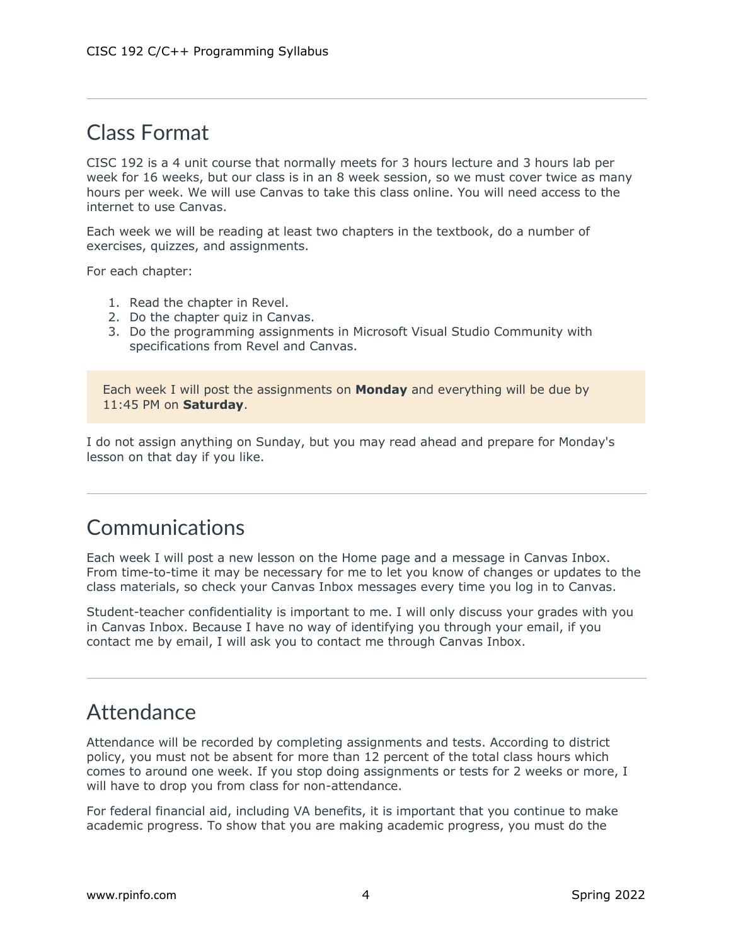## Class Format

CISC 192 is a 4 unit course that normally meets for 3 hours lecture and 3 hours lab per week for 16 weeks, but our class is in an 8 week session, so we must cover twice as many hours per week. We will use Canvas to take this class online. You will need access to the internet to use Canvas.

Each week we will be reading at least two chapters in the textbook, do a number of exercises, quizzes, and assignments.

For each chapter:

- 1. Read the chapter in Revel.
- 2. Do the chapter quiz in Canvas.
- 3. Do the programming assignments in Microsoft Visual Studio Community with specifications from Revel and Canvas.

Each week I will post the assignments on **Monday** and everything will be due by 11:45 PM on **Saturday**.

I do not assign anything on Sunday, but you may read ahead and prepare for Monday's lesson on that day if you like.

### Communications

Each week I will post a new lesson on the Home page and a message in Canvas Inbox. From time-to-time it may be necessary for me to let you know of changes or updates to the class materials, so check your Canvas Inbox messages every time you log in to Canvas.

Student-teacher confidentiality is important to me. I will only discuss your grades with you in Canvas Inbox. Because I have no way of identifying you through your email, if you contact me by email, I will ask you to contact me through Canvas Inbox.

### **Attendance**

Attendance will be recorded by completing assignments and tests. According to district policy, you must not be absent for more than 12 percent of the total class hours which comes to around one week. If you stop doing assignments or tests for 2 weeks or more, I will have to drop you from class for non-attendance.

For federal financial aid, including VA benefits, it is important that you continue to make academic progress. To show that you are making academic progress, you must do the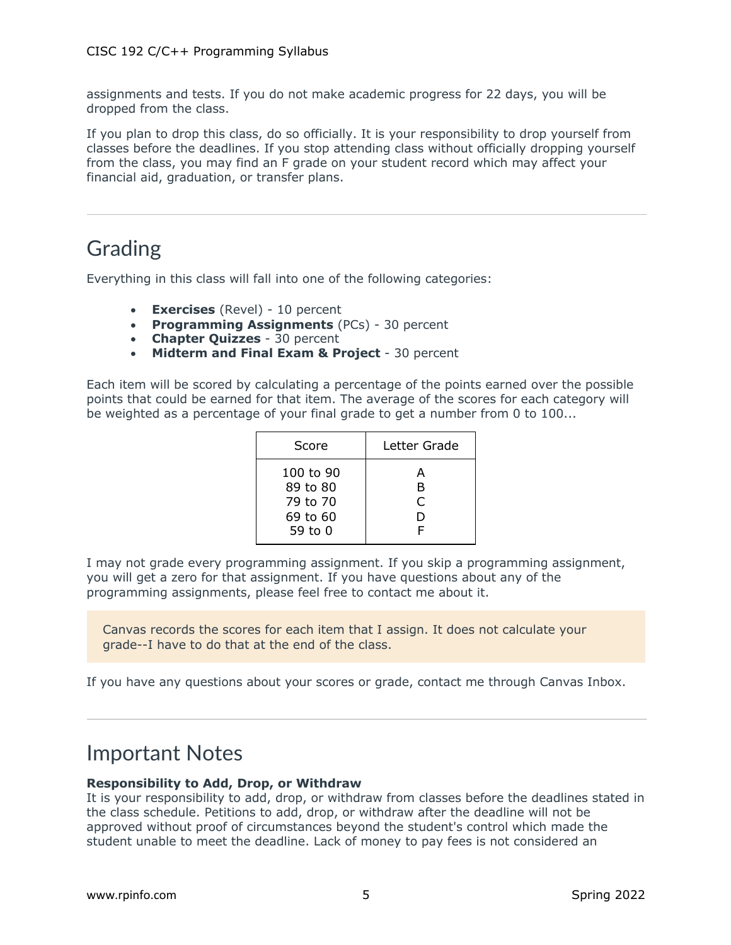assignments and tests. If you do not make academic progress for 22 days, you will be dropped from the class.

If you plan to drop this class, do so officially. It is your responsibility to drop yourself from classes before the deadlines. If you stop attending class without officially dropping yourself from the class, you may find an F grade on your student record which may affect your financial aid, graduation, or transfer plans.

## Grading

Everything in this class will fall into one of the following categories:

- **Exercises** (Revel) 10 percent
- **Programming Assignments** (PCs) 30 percent
- **Chapter Quizzes** 30 percent
- **Midterm and Final Exam & Project** 30 percent

Each item will be scored by calculating a percentage of the points earned over the possible points that could be earned for that item. The average of the scores for each category will be weighted as a percentage of your final grade to get a number from 0 to 100...

| Score                                                    | Letter Grade     |
|----------------------------------------------------------|------------------|
| 100 to 90<br>89 to 80<br>79 to 70<br>69 to 60<br>59 to 0 | А<br>B<br>C<br>D |

I may not grade every programming assignment. If you skip a programming assignment, you will get a zero for that assignment. If you have questions about any of the programming assignments, please feel free to contact me about it.

Canvas records the scores for each item that I assign. It does not calculate your grade--I have to do that at the end of the class.

If you have any questions about your scores or grade, contact me through Canvas Inbox.

#### Important Notes

#### **Responsibility to Add, Drop, or Withdraw**

It is your responsibility to add, drop, or withdraw from classes before the deadlines stated in the class schedule. Petitions to add, drop, or withdraw after the deadline will not be approved without proof of circumstances beyond the student's control which made the student unable to meet the deadline. Lack of money to pay fees is not considered an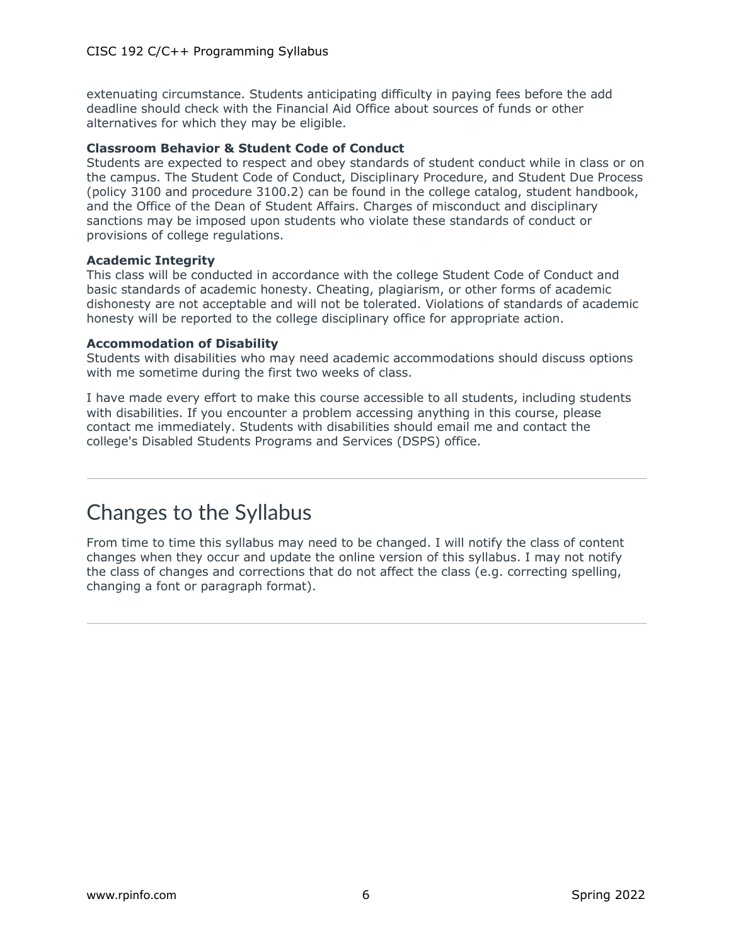extenuating circumstance. Students anticipating difficulty in paying fees before the add deadline should check with the Financial Aid Office about sources of funds or other alternatives for which they may be eligible.

#### **Classroom Behavior & Student Code of Conduct**

Students are expected to respect and obey standards of student conduct while in class or on the campus. The Student Code of Conduct, Disciplinary Procedure, and Student Due Process (policy 3100 and procedure 3100.2) can be found in the college catalog, student handbook, and the Office of the Dean of Student Affairs. Charges of misconduct and disciplinary sanctions may be imposed upon students who violate these standards of conduct or provisions of college regulations.

#### **Academic Integrity**

This class will be conducted in accordance with the college Student Code of Conduct and basic standards of academic honesty. Cheating, plagiarism, or other forms of academic dishonesty are not acceptable and will not be tolerated. Violations of standards of academic honesty will be reported to the college disciplinary office for appropriate action.

#### **Accommodation of Disability**

Students with disabilities who may need academic accommodations should discuss options with me sometime during the first two weeks of class.

I have made every effort to make this course accessible to all students, including students with disabilities. If you encounter a problem accessing anything in this course, please contact me immediately. Students with disabilities should email me and contact the college's Disabled Students Programs and Services (DSPS) office.

### Changes to the Syllabus

From time to time this syllabus may need to be changed. I will notify the class of content changes when they occur and update the online version of this syllabus. I may not notify the class of changes and corrections that do not affect the class (e.g. correcting spelling, changing a font or paragraph format).